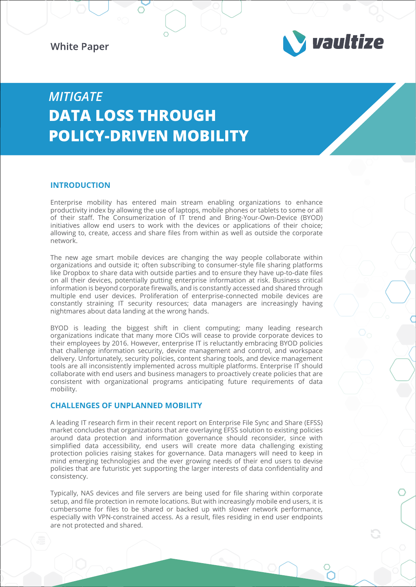**White Paper** 



# *MITIGATE*  **DATA LOSS THROUGH POLICY-DRIVEN MOBILITY**

# **INTRODUCTION**

Enterprise mobility has entered main stream enabling organizations to enhance productivity index by allowing the use of laptops, mobile phones or tablets to some or all of their staff. The Consumerization of IT trend and Bring-Your-Own-Device (BYOD) initiatives allow end users to work with the devices or applications of their choice; allowing to, create, access and share files from within as well as outside the corporate network.

The new age smart mobile devices are changing the way people collaborate within organizations and outside it; often subscribing to consumer-style file sharing platforms like Dropbox to share data with outside parties and to ensure they have up-to-date files on all their devices, potentially putting enterprise information at risk. Business critical information is beyond corporate firewalls, and is constantly accessed and shared through multiple end user devices. Proliferation of enterprise-connected mobile devices are constantly straining IT security resources; data managers are increasingly having nightmares about data landing at the wrong hands.

BYOD is leading the biggest shift in client computing; many leading research organizations indicate that many more CIOs will cease to provide corporate devices to their employees by 2016. However, enterprise IT is reluctantly embracing BYOD policies that challenge information security, device management and control, and workspace delivery. Unfortunately, security policies, content sharing tools, and device management tools are all inconsistently implemented across multiple platforms. Enterprise IT should collaborate with end users and business managers to proactively create policies that are consistent with organizational programs anticipating future requirements of data mobility.

## **CHALLENGES OF UNPLANNED MOBILITY**

A leading IT research firm in their recent report on Enterprise File Sync and Share (EFSS) market concludes that organizations that are overlaying EFSS solution to existing policies around data protection and information governance should reconsider, since with simplified data accessibility, end users will create more data challenging existing protection policies raising stakes for governance. Data managers will need to keep in mind emerging technologies and the ever growing needs of their end users to devise policies that are futuristic yet supporting the larger interests of data confidentiality and consistency.

Typically, NAS devices and file servers are being used for file sharing within corporate setup, and file protection in remote locations. But with increasingly mobile end users, it is cumbersome for files to be shared or backed up with slower network performance, especially with VPN-constrained access. As a result, files residing in end user endpoints are not protected and shared.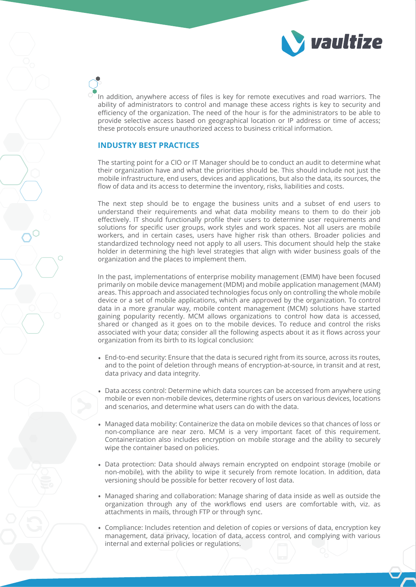

In addition, anywhere access of files is key for remote executives and road warriors. The ability of administrators to control and manage these access rights is key to security and efficiency of the organization. The need of the hour is for the administrators to be able to provide selective access based on geographical location or IP address or time of access; these protocols ensure unauthorized access to business critical information.

# **INDUSTRY BEST PRACTICES**

The starting point for a CIO or IT Manager should be to conduct an audit to determine what their organization have and what the priorities should be. This should include not just the mobile infrastructure, end users, devices and applications, but also the data, its sources, the flow of data and its access to determine the inventory, risks, liabilities and costs.

The next step should be to engage the business units and a subset of end users to understand their requirements and what data mobility means to them to do their job effectively. IT should functionally profile their users to determine user requirements and solutions for specific user groups, work styles and work spaces. Not all users are mobile workers, and in certain cases, users have higher risk than others. Broader policies and standardized technology need not apply to all users. This document should help the stake holder in determining the high level strategies that align with wider business goals of the organization and the places to implement them.

In the past, implementations of enterprise mobility management (EMM) have been focused primarily on mobile device management (MDM) and mobile application management (MAM) areas. This approach and associated technologies focus only on controlling the whole mobile device or a set of mobile applications, which are approved by the organization. To control data in a more granular way, mobile content management (MCM) solutions have started gaining popularity recently. MCM allows organizations to control how data is accessed, shared or changed as it goes on to the mobile devices. To reduce and control the risks associated with your data; consider all the following aspects about it as it flows across your organization from its birth to its logical conclusion:

- End-to-end security: Ensure that the data is secured right from its source, across its routes, and to the point of deletion through means of encryption-at-source, in transit and at rest, data privacy and data integrity.
- Data access control: Determine which data sources can be accessed from anywhere using mobile or even non-mobile devices, determine rights of users on various devices, locations and scenarios, and determine what users can do with the data. •
- Managed data mobility: Containerize the data on mobile devices so that chances of loss or non-compliance are near zero. MCM is a very important facet of this requirement. Containerization also includes encryption on mobile storage and the ability to securely wipe the container based on policies.
- Data protection: Data should always remain encrypted on endpoint storage (mobile or non-mobile), with the ability to wipe it securely from remote location. In addition, data versioning should be possible for better recovery of lost data.
- Managed sharing and collaboration: Manage sharing of data inside as well as outside the organization through any of the workflows end users are comfortable with, viz. as attachments in mails, through FTP or through sync.
- Compliance: Includes retention and deletion of copies or versions of data, encryption key •management, data privacy, location of data, access control, and complying with various internal and external policies or regulations.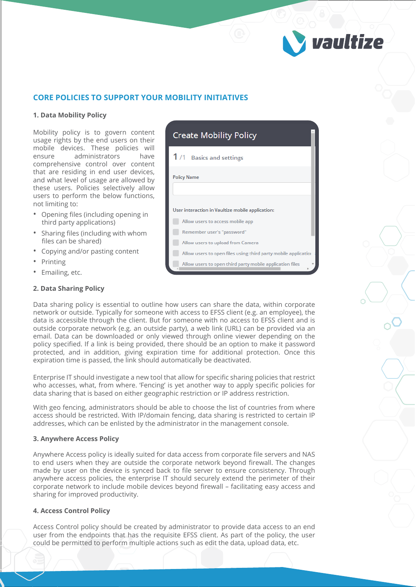

# **CORE POLICIES TO SUPPORT YOUR MOBILITY INITIATIVES**

#### **1. Data Mobility Policy**

Mobility policy is to govern content usage rights by the end users on their mobile devices. These policies will ensure administrators have comprehensive control over content that are residing in end user devices, and what level of usage are allowed by these users. Policies selectively allow users to perform the below functions, not limiting to:

- Opening files (including opening in third party applications)
- Sharing files (including with whom files can be shared)
- Copying and/or pasting content
- **Printing**
- Emailing, etc.

### **2. Data Sharing Policy**

**Create Mobility Policy** 1/1 Basics and settings **Policy Name** User interaction in Vaultize mobile application: Allow users to access mobile app Remember user's "password" Allow users to upload from Camera Allow users to open files using third party mobile applicatior Allow users to open third party mobile application files

Data sharing policy is essential to outline how users can share the data, within corporate network or outside. Typically for someone with access to EFSS client (e.g. an employee), the data is accessible through the client. But for someone with no access to EFSS client and is outside corporate network (e.g. an outside party), a web link (URL) can be provided via an email. Data can be downloaded or only viewed through online viewer depending on the policy specified. If a link is being provided, there should be an option to make it password protected, and in addition, giving expiration time for additional protection. Once this expiration time is passed, the link should automatically be deactivated.

Enterprise IT should investigate a new tool that allow for specific sharing policies that restrict who accesses, what, from where. 'Fencing' is yet another way to apply specific policies for data sharing that is based on either geographic restriction or IP address restriction.

With geo fencing, administrators should be able to choose the list of countries from where access should be restricted. With IP/domain fencing, data sharing is restricted to certain IP addresses, which can be enlisted by the administrator in the management console.

#### **3. Anywhere Access Policy**

Anywhere Access policy is ideally suited for data access from corporate file servers and NAS to end users when they are outside the corporate network beyond firewall. The changes made by user on the device is synced back to file server to ensure consistency. Through anywhere access policies, the enterprise IT should securely extend the perimeter of their corporate network to include mobile devices beyond firewall – facilitating easy access and sharing for improved productivity.

#### **4. Access Control Policy**

Access Control policy should be created by administrator to provide data access to an end user from the endpoints that has the requisite EFSS client. As part of the policy, the user could be permitted to perform multiple actions such as edit the data, upload data, etc.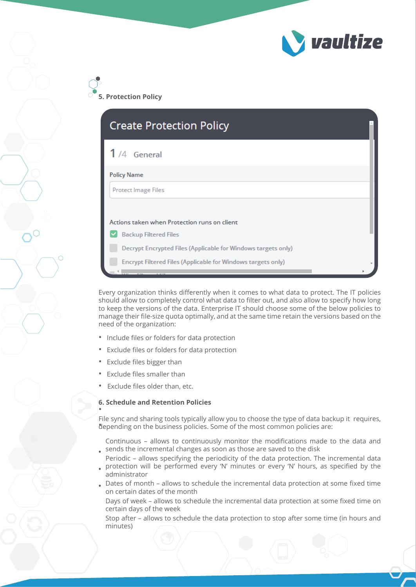

**5. Protection Policy**

| $1/4$ General                |                                                               |  |
|------------------------------|---------------------------------------------------------------|--|
| <b>Policy Name</b>           |                                                               |  |
| <b>Protect Image Files</b>   |                                                               |  |
|                              | Actions taken when Protection runs on client                  |  |
| <b>Backup Filtered Files</b> |                                                               |  |
|                              |                                                               |  |
|                              | Decrypt Encrypted Files (Applicable for Windows targets only) |  |

Every organization thinks differently when it comes to what data to protect. The IT policies should allow to completely control what data to filter out, and also allow to specify how long to keep the versions of the data. Enterprise IT should choose some of the below policies to manage their file-size quota optimally, and at the same time retain the versions based on the need of the organization:

- Include files or folders for data protection
- Exclude files or folders for data protection
- Exclude files bigger than
- Exclude files smaller than
- Exclude files older than, etc.

#### **6. Schedule and Retention Policies** •

File sync and sharing tools typically allow you to choose the type of data backup it requires, depending on the business policies. Some of the most common policies are:

Continuous – allows to continuously monitor the modifications made to the data and sends the incremental changes as soon as those are saved to the disk •

- Periodic allows specifying the periodicity of the data protection. The incremental data protection will be performed every 'N' minutes or every 'N' hours, as specified by the
- administrator •
- Dates of month allows to schedule the incremental data protection at some fixed time on certain dates of the month •

Days of week – allows to schedule the incremental data protection at some fixed time on certain days of the week

Stop after – allows to schedule the data protection to stop after some time (in hours and minutes)